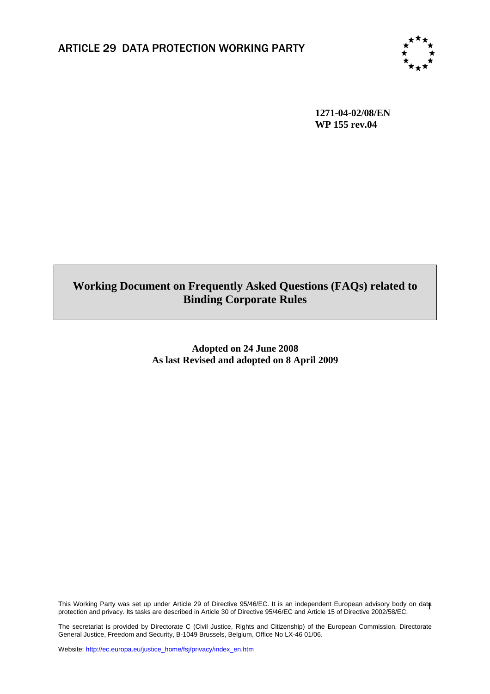

**1271-04-02/08/EN WP 155 rev.04**

# **Working Document on Frequently Asked Questions (FAQs) related to Binding Corporate Rules**

**Adopted on 24 June 2008 As last Revised and adopted on 8 April 2009** 

This Working Party was set up under Article 29 of Directive 95/46/EC. It is an independent European advisory body on data This Working Party was set up under Article 29 of Directive 95/46/EC. It is an independent European advisory body on dat**a**<br>protection and privacy. Its tasks are described in Article 30 of Directive 95/46/EC and Article 15

The secretariat is provided by Directorate C (Civil Justice, Rights and Citizenship) of the European Commission, Directorate General Justice, Freedom and Security, B-1049 Brussels, Belgium, Office No LX-46 01/06.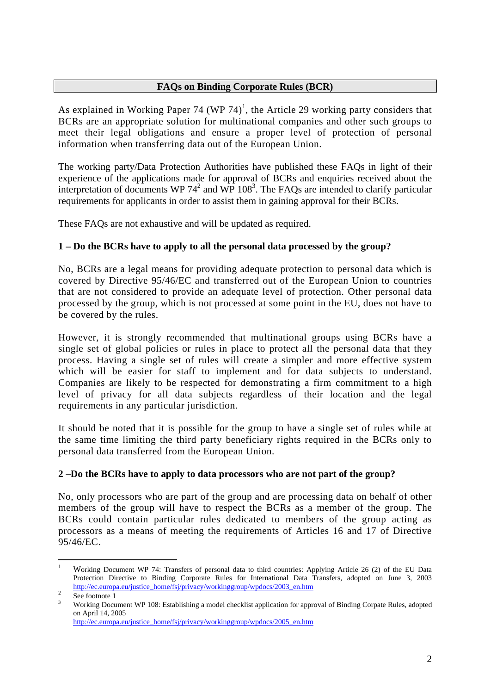## **FAQs on Binding Corporate Rules (BCR)**

As explained in Working Paper 74 (WP 74)<sup>1</sup>, the Article 29 working party considers that BCRs are an appropriate solution for multinational companies and other such groups to meet their legal obligations and ensure a proper level of protection of personal information when transferring data out of the European Union.

The working party/Data Protection Authorities have published these FAQs in light of their experience of the applications made for approval of BCRs and enquiries received about the interpretation of documents WP  $74<sup>2</sup>$  and WP  $108<sup>3</sup>$ . The FAQs are intended to clarify particular requirements for applicants in order to assist them in gaining approval for their BCRs.

These FAQs are not exhaustive and will be updated as required.

# **1 – Do the BCRs have to apply to all the personal data processed by the group?**

No, BCRs are a legal means for providing adequate protection to personal data which is covered by Directive 95/46/EC and transferred out of the European Union to countries that are not considered to provide an adequate level of protection. Other personal data processed by the group, which is not processed at some point in the EU, does not have to be covered by the rules.

However, it is strongly recommended that multinational groups using BCRs have a single set of global policies or rules in place to protect all the personal data that they process. Having a single set of rules will create a simpler and more effective system which will be easier for staff to implement and for data subjects to understand. Companies are likely to be respected for demonstrating a firm commitment to a high level of privacy for all data subjects regardless of their location and the legal requirements in any particular jurisdiction.

It should be noted that it is possible for the group to have a single set of rules while at the same time limiting the third party beneficiary rights required in the BCRs only to personal data transferred from the European Union.

## **2 –Do the BCRs have to apply to data processors who are not part of the group?**

No, only processors who are part of the group and are processing data on behalf of other members of the group will have to respect the BCRs as a member of the group. The BCRs could contain particular rules dedicated to members of the group acting as processors as a means of meeting the requirements of Articles 16 and 17 of Directive 95/46/EC.

[http://ec.europa.eu/justice\\_home/fsj/privacy/workinggroup/wpdocs/2005\\_en.htm](http://ec.europa.eu/justice_home/fsj/privacy/workinggroup/wpdocs/2005_en.htm)

 $\frac{1}{1}$ Working Document WP 74: Transfers of personal data to third countries: Applying Article 26 (2) of the EU Data Protection Directive to Binding Corporate Rules for International Data Transfers, adopted on June 3, 2003 [http://ec.europa.eu/justice\\_home/fsj/privacy/workinggroup/wpdocs/2003\\_en.htm](http://ec.europa.eu/justice_home/fsj/privacy/workinggroup/wpdocs/2003_en.htm)

See footnote 1

Working Document WP 108: Establishing a model checklist application for approval of Binding Corpate Rules, adopted on April 14, 2005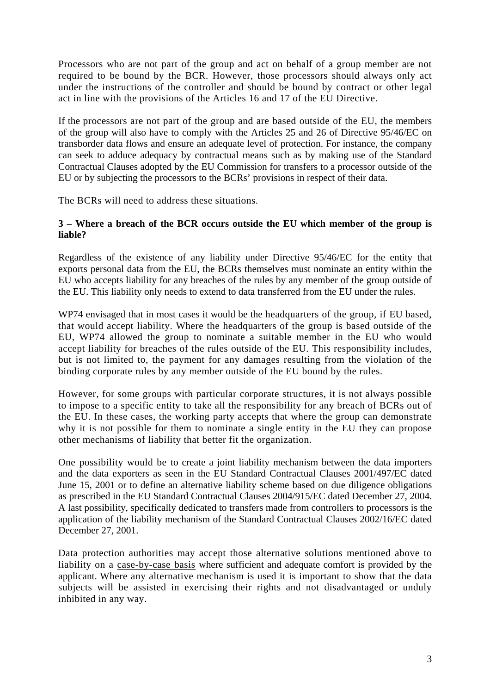Processors who are not part of the group and act on behalf of a group member are not required to be bound by the BCR. However, those processors should always only act under the instructions of the controller and should be bound by contract or other legal act in line with the provisions of the Articles 16 and 17 of the EU Directive.

If the processors are not part of the group and are based outside of the EU, the members of the group will also have to comply with the Articles 25 and 26 of Directive 95/46/EC on transborder data flows and ensure an adequate level of protection. For instance, the company can seek to adduce adequacy by contractual means such as by making use of the Standard Contractual Clauses adopted by the EU Commission for transfers to a processor outside of the EU or by subjecting the processors to the BCRs' provisions in respect of their data.

The BCRs will need to address these situations.

## **3 – Where a breach of the BCR occurs outside the EU which member of the group is liable?**

Regardless of the existence of any liability under Directive 95/46/EC for the entity that exports personal data from the EU, the BCRs themselves must nominate an entity within the EU who accepts liability for any breaches of the rules by any member of the group outside of the EU. This liability only needs to extend to data transferred from the EU under the rules.

WP74 envisaged that in most cases it would be the headquarters of the group, if EU based, that would accept liability. Where the headquarters of the group is based outside of the EU, WP74 allowed the group to nominate a suitable member in the EU who would accept liability for breaches of the rules outside of the EU. This responsibility includes, but is not limited to, the payment for any damages resulting from the violation of the binding corporate rules by any member outside of the EU bound by the rules.

However, for some groups with particular corporate structures, it is not always possible to impose to a specific entity to take all the responsibility for any breach of BCRs out of the EU. In these cases, the working party accepts that where the group can demonstrate why it is not possible for them to nominate a single entity in the EU they can propose other mechanisms of liability that better fit the organization.

One possibility would be to create a joint liability mechanism between the data importers and the data exporters as seen in the EU Standard Contractual Clauses 2001/497/EC dated June 15, 2001 or to define an alternative liability scheme based on due diligence obligations as prescribed in the EU Standard Contractual Clauses 2004/915/EC dated December 27, 2004. A last possibility, specifically dedicated to transfers made from controllers to processors is the application of the liability mechanism of the Standard Contractual Clauses 2002/16/EC dated December 27, 2001.

Data protection authorities may accept those alternative solutions mentioned above to liability on a case-by-case basis where sufficient and adequate comfort is provided by the applicant. Where any alternative mechanism is used it is important to show that the data subjects will be assisted in exercising their rights and not disadvantaged or unduly inhibited in any way.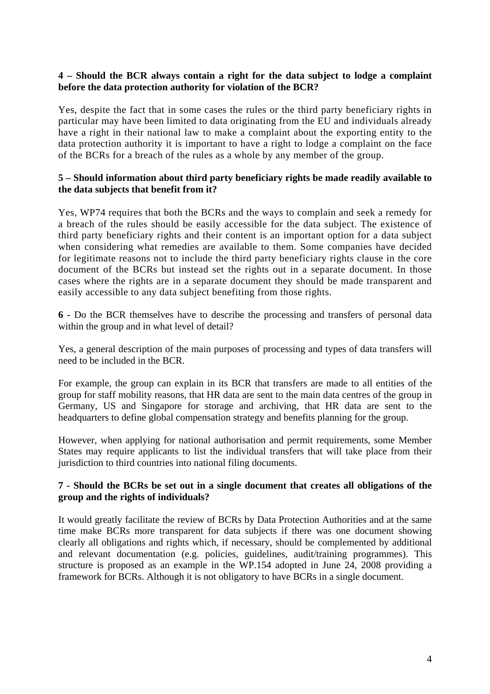#### **4 – Should the BCR always contain a right for the data subject to lodge a complaint before the data protection authority for violation of the BCR?**

Yes, despite the fact that in some cases the rules or the third party beneficiary rights in particular may have been limited to data originating from the EU and individuals already have a right in their national law to make a complaint about the exporting entity to the data protection authority it is important to have a right to lodge a complaint on the face of the BCRs for a breach of the rules as a whole by any member of the group.

## **5 – Should information about third party beneficiary rights be made readily available to the data subjects that benefit from it?**

Yes, WP74 requires that both the BCRs and the ways to complain and seek a remedy for a breach of the rules should be easily accessible for the data subject. The existence of third party beneficiary rights and their content is an important option for a data subject when considering what remedies are available to them. Some companies have decided for legitimate reasons not to include the third party beneficiary rights clause in the core document of the BCRs but instead set the rights out in a separate document. In those cases where the rights are in a separate document they should be made transparent and easily accessible to any data subject benefiting from those rights.

**6 -** Do the BCR themselves have to describe the processing and transfers of personal data within the group and in what level of detail?

Yes, a general description of the main purposes of processing and types of data transfers will need to be included in the BCR.

For example, the group can explain in its BCR that transfers are made to all entities of the group for staff mobility reasons, that HR data are sent to the main data centres of the group in Germany, US and Singapore for storage and archiving, that HR data are sent to the headquarters to define global compensation strategy and benefits planning for the group.

However, when applying for national authorisation and permit requirements, some Member States may require applicants to list the individual transfers that will take place from their jurisdiction to third countries into national filing documents.

## **7 - Should the BCRs be set out in a single document that creates all obligations of the group and the rights of individuals?**

It would greatly facilitate the review of BCRs by Data Protection Authorities and at the same time make BCRs more transparent for data subjects if there was one document showing clearly all obligations and rights which, if necessary, should be complemented by additional and relevant documentation (e.g. policies, guidelines, audit/training programmes). This structure is proposed as an example in the WP.154 adopted in June 24, 2008 providing a framework for BCRs. Although it is not obligatory to have BCRs in a single document.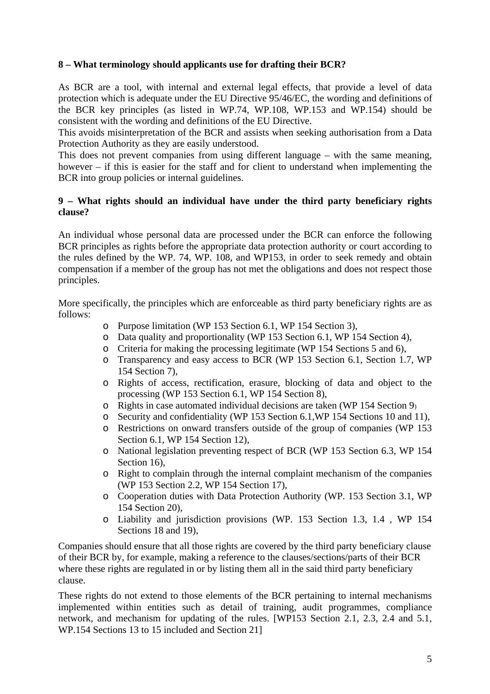# **8 – What terminology should applicants use for drafting their BCR?**

As BCR are a tool, with internal and external legal effects, that provide a level of data protection which is adequate under the EU Directive 95/46/EC, the wording and definitions of the BCR key principles (as listed in WP.74, WP.108, WP.153 and WP.154) should be consistent with the wording and definitions of the EU Directive.

This avoids misinterpretation of the BCR and assists when seeking authorisation from a Data Protection Authority as they are easily understood.

This does not prevent companies from using different language – with the same meaning, however – if this is easier for the staff and for client to understand when implementing the BCR into group policies or internal guidelines.

# **9 – What rights should an individual have under the third party beneficiary rights clause?**

An individual whose personal data are processed under the BCR can enforce the following BCR principles as rights before the appropriate data protection authority or court according to the rules defined by the WP. 74, WP. 108, and WP153, in order to seek remedy and obtain compensation if a member of the group has not met the obligations and does not respect those principles.

More specifically, the principles which are enforceable as third party beneficiary rights are as follows:

- o Purpose limitation (WP 153 Section 6.1, WP 154 Section 3),
- o Data quality and proportionality (WP 153 Section 6.1, WP 154 Section 4),
- o Criteria for making the processing legitimate (WP 154 Sections 5 and 6),
- o Transparency and easy access to BCR (WP 153 Section 6.1, Section 1.7, WP 154 Section 7),
- o Rights of access, rectification, erasure, blocking of data and object to the processing (WP 153 Section 6.1, WP 154 Section 8),
- o Rights in case automated individual decisions are taken (WP 154 Section 9)
- o Security and confidentiality (WP 153 Section 6.1,WP 154 Sections 10 and 11),
- o Restrictions on onward transfers outside of the group of companies (WP 153 Section 6.1, WP 154 Section 12),
- o National legislation preventing respect of BCR (WP 153 Section 6.3, WP 154 Section 16).
- o Right to complain through the internal complaint mechanism of the companies (WP 153 Section 2.2, WP 154 Section 17),
- o Cooperation duties with Data Protection Authority (WP. 153 Section 3.1, WP 154 Section 20),
- o Liability and jurisdiction provisions (WP. 153 Section 1.3, 1.4 , WP 154 Sections 18 and 19),

Companies should ensure that all those rights are covered by the third party beneficiary clause of their BCR by, for example, making a reference to the clauses/sections/parts of their BCR where these rights are regulated in or by listing them all in the said third party beneficiary clause.

These rights do not extend to those elements of the BCR pertaining to internal mechanisms implemented within entities such as detail of training, audit programmes, compliance network, and mechanism for updating of the rules. [WP153 Section 2.1, 2.3, 2.4 and 5.1, WP.154 Sections 13 to 15 included and Section 21]